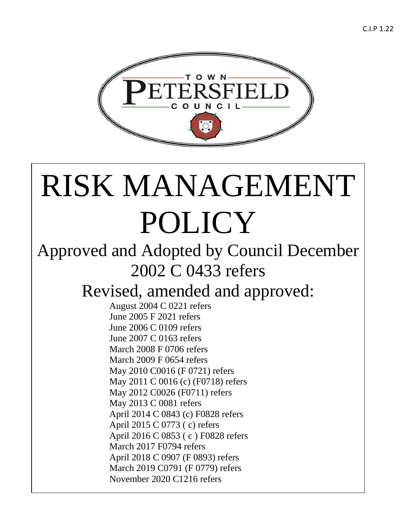

# RISK MANAGEMENT POLICY

# Approved and Adopted by Council December 2002 C 0433 refers

# Revised, amended and approved:

August 2004 C 0221 refers June 2005 F 2021 refers June 2006 C 0109 refers June 2007 C 0163 refers March 2008 F 0706 refers March 2009 F 0654 refers May 2010 C0016 (F 0721) refers May 2011 C 0016 (c) (F0718) refers May 2012 C0026 (F0711) refers May 2013 C 0081 refers April 2014 C 0843 (c) F0828 refers April 2015 C 0773 ( c) refers April 2016 C 0853 ( c ) F0828 refers March 2017 F0794 refers April 2018 C 0907 (F 0893) refers March 2019 C0791 (F 0779) refers November 2020 C1216 refers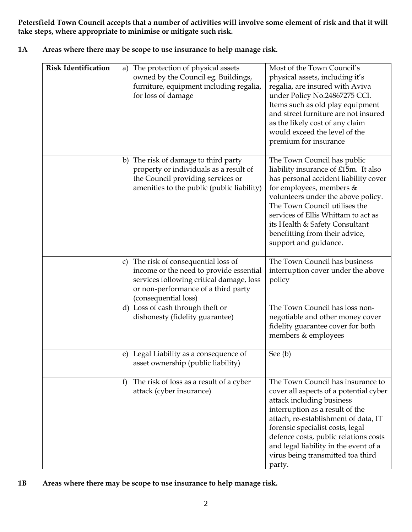**Petersfield Town Council accepts that a number of activities will involve some element of risk and that it will take steps, where appropriate to minimise or mitigate such risk.**

| 1A | Areas where there may be scope to use insurance to help manage risk. |
|----|----------------------------------------------------------------------|
|    |                                                                      |

| <b>Risk Identification</b> | The protection of physical assets<br>a)<br>owned by the Council eg. Buildings,<br>furniture, equipment including regalia,<br>for loss of damage                                                          | Most of the Town Council's<br>physical assets, including it's<br>regalia, are insured with Aviva<br>under Policy No.24867275 CCI.<br>Items such as old play equipment<br>and street furniture are not insured<br>as the likely cost of any claim<br>would exceed the level of the<br>premium for insurance                                               |
|----------------------------|----------------------------------------------------------------------------------------------------------------------------------------------------------------------------------------------------------|----------------------------------------------------------------------------------------------------------------------------------------------------------------------------------------------------------------------------------------------------------------------------------------------------------------------------------------------------------|
|                            | The risk of damage to third party<br>b)<br>property or individuals as a result of<br>the Council providing services or<br>amenities to the public (public liability)                                     | The Town Council has public<br>liability insurance of £15m. It also<br>has personal accident liability cover<br>for employees, members &<br>volunteers under the above policy.<br>The Town Council utilises the<br>services of Ellis Whittam to act as<br>its Health & Safety Consultant<br>benefitting from their advice,<br>support and guidance.      |
|                            | The risk of consequential loss of<br>$\mathcal{C}$<br>income or the need to provide essential<br>services following critical damage, loss<br>or non-performance of a third party<br>(consequential loss) | The Town Council has business<br>interruption cover under the above<br>policy                                                                                                                                                                                                                                                                            |
|                            | d) Loss of cash through theft or<br>dishonesty (fidelity guarantee)                                                                                                                                      | The Town Council has loss non-<br>negotiable and other money cover<br>fidelity guarantee cover for both<br>members & employees                                                                                                                                                                                                                           |
|                            | e) Legal Liability as a consequence of<br>asset ownership (public liability)                                                                                                                             | See (b)                                                                                                                                                                                                                                                                                                                                                  |
|                            | The risk of loss as a result of a cyber<br>f<br>attack (cyber insurance)                                                                                                                                 | The Town Council has insurance to<br>cover all aspects of a potential cyber<br>attack including business<br>interruption as a result of the<br>attach, re-establishment of data, IT<br>forensic specialist costs, legal<br>defence costs, public relations costs<br>and legal liability in the event of a<br>virus being transmitted toa third<br>party. |

**<sup>1</sup>B Areas where there may be scope to use insurance to help manage risk.**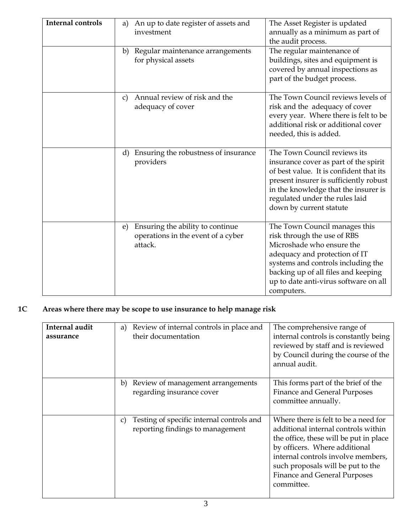| <b>Internal controls</b> | An up to date register of assets and<br>a)<br>investment                                | The Asset Register is updated<br>annually as a minimum as part of<br>the audit process.                                                                                                                                                                         |
|--------------------------|-----------------------------------------------------------------------------------------|-----------------------------------------------------------------------------------------------------------------------------------------------------------------------------------------------------------------------------------------------------------------|
|                          | Regular maintenance arrangements<br>b)<br>for physical assets                           | The regular maintenance of<br>buildings, sites and equipment is<br>covered by annual inspections as<br>part of the budget process.                                                                                                                              |
|                          | Annual review of risk and the<br>C)<br>adequacy of cover                                | The Town Council reviews levels of<br>risk and the adequacy of cover<br>every year. Where there is felt to be<br>additional risk or additional cover<br>needed, this is added.                                                                                  |
|                          | Ensuring the robustness of insurance<br>d)<br>providers                                 | The Town Council reviews its<br>insurance cover as part of the spirit<br>of best value. It is confident that its<br>present insurer is sufficiently robust<br>in the knowledge that the insurer is<br>regulated under the rules laid<br>down by current statute |
|                          | Ensuring the ability to continue<br>e)<br>operations in the event of a cyber<br>attack. | The Town Council manages this<br>risk through the use of RBS<br>Microshade who ensure the<br>adequacy and protection of IT<br>systems and controls including the<br>backing up of all files and keeping<br>up to date anti-virus software on all<br>computers.  |

## **1C Areas where there may be scope to use insurance to help manage risk**

| Internal audit<br>assurance | Review of internal controls in place and<br>a)<br>their documentation               | The comprehensive range of<br>internal controls is constantly being<br>reviewed by staff and is reviewed<br>by Council during the course of the<br>annual audit.                                                                                                                |
|-----------------------------|-------------------------------------------------------------------------------------|---------------------------------------------------------------------------------------------------------------------------------------------------------------------------------------------------------------------------------------------------------------------------------|
|                             | Review of management arrangements<br>b)<br>regarding insurance cover                | This forms part of the brief of the<br>Finance and General Purposes<br>committee annually.                                                                                                                                                                                      |
|                             | Testing of specific internal controls and<br>C)<br>reporting findings to management | Where there is felt to be a need for<br>additional internal controls within<br>the office, these will be put in place<br>by officers. Where additional<br>internal controls involve members,<br>such proposals will be put to the<br>Finance and General Purposes<br>committee. |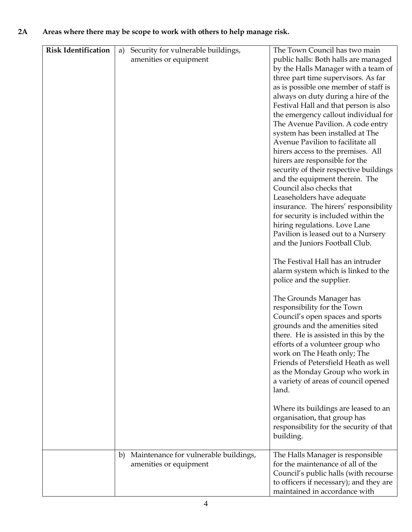#### **2A Areas where there may be scope to work with others to help manage risk.**

| <b>Risk Identification</b> | Security for vulnerable buildings,<br>a)    | The Town Council has two main                                            |
|----------------------------|---------------------------------------------|--------------------------------------------------------------------------|
|                            | amenities or equipment                      | public halls: Both halls are managed                                     |
|                            |                                             | by the Halls Manager with a team of                                      |
|                            |                                             | three part time supervisors. As far                                      |
|                            |                                             | as is possible one member of staff is                                    |
|                            |                                             | always on duty during a hire of the                                      |
|                            |                                             | Festival Hall and that person is also                                    |
|                            |                                             | the emergency callout individual for                                     |
|                            |                                             | The Avenue Pavilion. A code entry                                        |
|                            |                                             | system has been installed at The                                         |
|                            |                                             | Avenue Pavilion to facilitate all                                        |
|                            |                                             | hirers access to the premises. All                                       |
|                            |                                             | hirers are responsible for the<br>security of their respective buildings |
|                            |                                             | and the equipment therein. The                                           |
|                            |                                             | Council also checks that                                                 |
|                            |                                             | Leaseholders have adequate                                               |
|                            |                                             | insurance. The hirers' responsibility                                    |
|                            |                                             | for security is included within the                                      |
|                            |                                             | hiring regulations. Love Lane                                            |
|                            |                                             | Pavilion is leased out to a Nursery                                      |
|                            |                                             | and the Juniors Football Club.                                           |
|                            |                                             | The Festival Hall has an intruder                                        |
|                            |                                             | alarm system which is linked to the                                      |
|                            |                                             | police and the supplier.                                                 |
|                            |                                             | The Grounds Manager has                                                  |
|                            |                                             | responsibility for the Town                                              |
|                            |                                             | Council's open spaces and sports                                         |
|                            |                                             | grounds and the amenities sited                                          |
|                            |                                             | there. He is assisted in this by the                                     |
|                            |                                             | efforts of a volunteer group who                                         |
|                            |                                             | work on The Heath only; The                                              |
|                            |                                             | Friends of Petersfield Heath as well                                     |
|                            |                                             | as the Monday Group who work in<br>a variety of areas of council opened  |
|                            |                                             | land.                                                                    |
|                            |                                             |                                                                          |
|                            |                                             | Where its buildings are leased to an                                     |
|                            |                                             | organisation, that group has                                             |
|                            |                                             | responsibility for the security of that                                  |
|                            |                                             | building.                                                                |
|                            | Maintenance for vulnerable buildings,<br>b) | The Halls Manager is responsible                                         |
|                            | amenities or equipment                      | for the maintenance of all of the                                        |
|                            |                                             | Council's public halls (with recourse                                    |
|                            |                                             | to officers if necessary); and they are<br>maintained in accordance with |
|                            |                                             |                                                                          |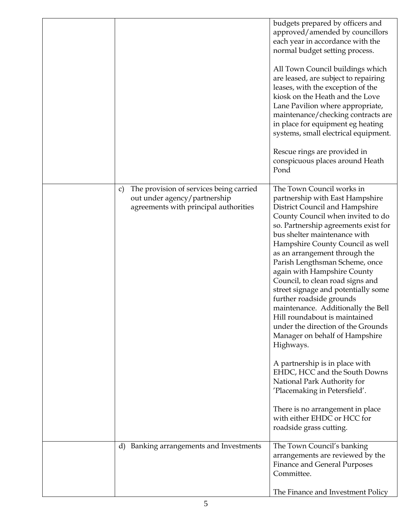|                                                                                                                        | budgets prepared by officers and<br>approved/amended by councillors<br>each year in accordance with the<br>normal budget setting process.<br>All Town Council buildings which<br>are leased, are subject to repairing<br>leases, with the exception of the<br>kiosk on the Heath and the Love<br>Lane Pavilion where appropriate,<br>maintenance/checking contracts are<br>in place for equipment eg heating<br>systems, small electrical equipment.<br>Rescue rings are provided in<br>conspicuous places around Heath<br>Pond                                                                                                                                                                                                                                |
|------------------------------------------------------------------------------------------------------------------------|----------------------------------------------------------------------------------------------------------------------------------------------------------------------------------------------------------------------------------------------------------------------------------------------------------------------------------------------------------------------------------------------------------------------------------------------------------------------------------------------------------------------------------------------------------------------------------------------------------------------------------------------------------------------------------------------------------------------------------------------------------------|
| The provision of services being carried<br>C)<br>out under agency/partnership<br>agreements with principal authorities | The Town Council works in<br>partnership with East Hampshire<br><b>District Council and Hampshire</b><br>County Council when invited to do<br>so. Partnership agreements exist for<br>bus shelter maintenance with<br>Hampshire County Council as well<br>as an arrangement through the<br>Parish Lengthsman Scheme, once<br>again with Hampshire County<br>Council, to clean road signs and<br>street signage and potentially some<br>further roadside grounds<br>maintenance. Additionally the Bell<br>Hill roundabout is maintained<br>under the direction of the Grounds<br>Manager on behalf of Hampshire<br>Highways.<br>A partnership is in place with<br>EHDC, HCC and the South Downs<br>National Park Authority for<br>'Placemaking in Petersfield'. |
|                                                                                                                        | There is no arrangement in place<br>with either EHDC or HCC for<br>roadside grass cutting.                                                                                                                                                                                                                                                                                                                                                                                                                                                                                                                                                                                                                                                                     |
| Banking arrangements and Investments<br>d)                                                                             | The Town Council's banking<br>arrangements are reviewed by the<br><b>Finance and General Purposes</b><br>Committee.                                                                                                                                                                                                                                                                                                                                                                                                                                                                                                                                                                                                                                            |
|                                                                                                                        | The Finance and Investment Policy                                                                                                                                                                                                                                                                                                                                                                                                                                                                                                                                                                                                                                                                                                                              |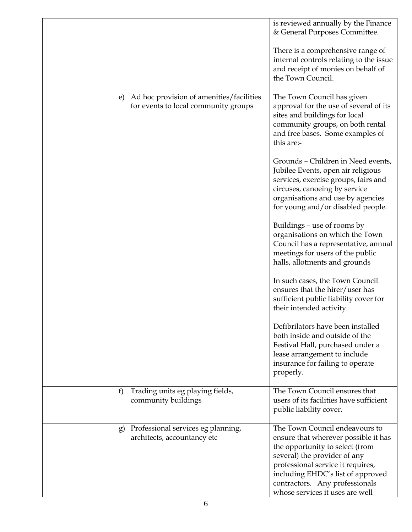|                                                                                        | is reviewed annually by the Finance<br>& General Purposes Committee.                                                                                                                                                                                                                     |
|----------------------------------------------------------------------------------------|------------------------------------------------------------------------------------------------------------------------------------------------------------------------------------------------------------------------------------------------------------------------------------------|
|                                                                                        | There is a comprehensive range of<br>internal controls relating to the issue<br>and receipt of monies on behalf of<br>the Town Council.                                                                                                                                                  |
| Ad hoc provision of amenities/facilities<br>e)<br>for events to local community groups | The Town Council has given<br>approval for the use of several of its<br>sites and buildings for local<br>community groups, on both rental<br>and free bases. Some examples of<br>this are:-                                                                                              |
|                                                                                        | Grounds - Children in Need events,<br>Jubilee Events, open air religious<br>services, exercise groups, fairs and<br>circuses, canoeing by service<br>organisations and use by agencies<br>for young and/or disabled people.                                                              |
|                                                                                        | Buildings - use of rooms by<br>organisations on which the Town<br>Council has a representative, annual<br>meetings for users of the public<br>halls, allotments and grounds                                                                                                              |
|                                                                                        | In such cases, the Town Council<br>ensures that the hirer/user has<br>sufficient public liability cover for<br>their intended activity.                                                                                                                                                  |
|                                                                                        | Defibrilators have been installed<br>both inside and outside of the<br>Festival Hall, purchased under a<br>lease arrangement to include<br>insurance for failing to operate<br>properly.                                                                                                 |
| Trading units eg playing fields,<br>f)<br>community buildings                          | The Town Council ensures that<br>users of its facilities have sufficient<br>public liability cover.                                                                                                                                                                                      |
| Professional services eg planning,<br>g)<br>architects, accountancy etc                | The Town Council endeavours to<br>ensure that wherever possible it has<br>the opportunity to select (from<br>several) the provider of any<br>professional service it requires,<br>including EHDC's list of approved<br>contractors. Any professionals<br>whose services it uses are well |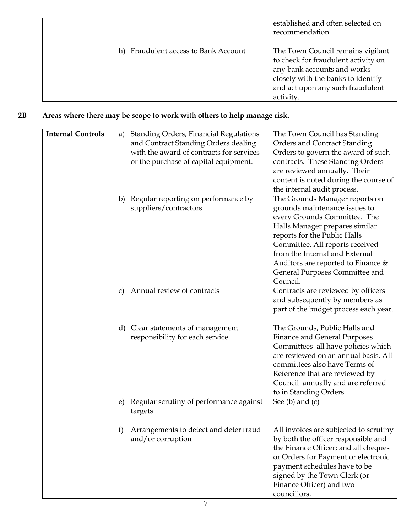|                                         | established and often selected on<br>recommendation.                                                                                                                                           |
|-----------------------------------------|------------------------------------------------------------------------------------------------------------------------------------------------------------------------------------------------|
| Fraudulent access to Bank Account<br>h) | The Town Council remains vigilant<br>to check for fraudulent activity on<br>any bank accounts and works<br>closely with the banks to identify<br>and act upon any such fraudulent<br>activity. |

#### **2B Areas where there may be scope to work with others to help manage risk.**

| <b>Internal Controls</b> | <b>Standing Orders, Financial Regulations</b><br>a)      | The Town Council has Standing          |
|--------------------------|----------------------------------------------------------|----------------------------------------|
|                          | and Contract Standing Orders dealing                     | <b>Orders and Contract Standing</b>    |
|                          | with the award of contracts for services                 | Orders to govern the award of such     |
|                          | or the purchase of capital equipment.                    | contracts. These Standing Orders       |
|                          |                                                          | are reviewed annually. Their           |
|                          |                                                          | content is noted during the course of  |
|                          |                                                          | the internal audit process.            |
|                          | Regular reporting on performance by<br>b)                | The Grounds Manager reports on         |
|                          | suppliers/contractors                                    | grounds maintenance issues to          |
|                          |                                                          | every Grounds Committee. The           |
|                          |                                                          | Halls Manager prepares similar         |
|                          |                                                          |                                        |
|                          |                                                          | reports for the Public Halls           |
|                          |                                                          | Committee. All reports received        |
|                          |                                                          | from the Internal and External         |
|                          |                                                          | Auditors are reported to Finance &     |
|                          |                                                          | General Purposes Committee and         |
|                          |                                                          | Council.                               |
|                          | Annual review of contracts<br>$\mathcal{C}$              | Contracts are reviewed by officers     |
|                          |                                                          | and subsequently by members as         |
|                          |                                                          | part of the budget process each year.  |
|                          |                                                          |                                        |
|                          | Clear statements of management<br>d)                     | The Grounds, Public Halls and          |
|                          | responsibility for each service                          | <b>Finance and General Purposes</b>    |
|                          |                                                          | Committees all have policies which     |
|                          |                                                          | are reviewed on an annual basis. All   |
|                          |                                                          | committees also have Terms of          |
|                          |                                                          | Reference that are reviewed by         |
|                          |                                                          | Council annually and are referred      |
|                          |                                                          | to in Standing Orders.                 |
|                          | Regular scrutiny of performance against<br>e)<br>targets | See $(b)$ and $(c)$                    |
|                          |                                                          |                                        |
|                          | Arrangements to detect and deter fraud<br>f)             | All invoices are subjected to scrutiny |
|                          | and/or corruption                                        | by both the officer responsible and    |
|                          |                                                          | the Finance Officer; and all cheques   |
|                          |                                                          | or Orders for Payment or electronic    |
|                          |                                                          | payment schedules have to be           |
|                          |                                                          | signed by the Town Clerk (or           |
|                          |                                                          | Finance Officer) and two               |
|                          |                                                          | councillors.                           |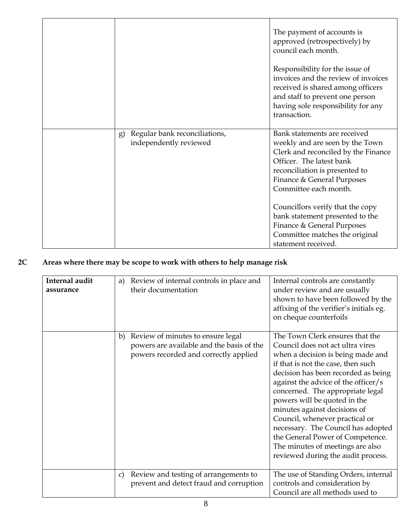|                                                               | The payment of accounts is<br>approved (retrospectively) by<br>council each month.<br>Responsibility for the issue of<br>invoices and the review of invoices<br>received is shared among officers<br>and staff to prevent one person<br>having sole responsibility for any<br>transaction.                                                                                                |
|---------------------------------------------------------------|-------------------------------------------------------------------------------------------------------------------------------------------------------------------------------------------------------------------------------------------------------------------------------------------------------------------------------------------------------------------------------------------|
| Regular bank reconciliations,<br>g)<br>independently reviewed | Bank statements are received<br>weekly and are seen by the Town<br>Clerk and reconciled by the Finance<br>Officer. The latest bank<br>reconciliation is presented to<br>Finance & General Purposes<br>Committee each month.<br>Councillors verify that the copy<br>bank statement presented to the<br>Finance & General Purposes<br>Committee matches the original<br>statement received. |

## **2C Areas where there may be scope to work with others to help manage risk**

| Internal audit<br>assurance | Review of internal controls in place and<br>a)<br>their documentation                                                         | Internal controls are constantly<br>under review and are usually<br>shown to have been followed by the<br>affixing of the verifier's initials eg.<br>on cheque counterfoils                                                                                                                                                                                                                                                                                                                                            |
|-----------------------------|-------------------------------------------------------------------------------------------------------------------------------|------------------------------------------------------------------------------------------------------------------------------------------------------------------------------------------------------------------------------------------------------------------------------------------------------------------------------------------------------------------------------------------------------------------------------------------------------------------------------------------------------------------------|
|                             | Review of minutes to ensure legal<br>b)<br>powers are available and the basis of the<br>powers recorded and correctly applied | The Town Clerk ensures that the<br>Council does not act ultra vires<br>when a decision is being made and<br>if that is not the case, then such<br>decision has been recorded as being<br>against the advice of the officer/s<br>concerned. The appropriate legal<br>powers will be quoted in the<br>minutes against decisions of<br>Council, whenever practical or<br>necessary. The Council has adopted<br>the General Power of Competence.<br>The minutes of meetings are also<br>reviewed during the audit process. |
|                             | Review and testing of arrangements to<br>$\mathcal{C}$<br>prevent and detect fraud and corruption                             | The use of Standing Orders, internal<br>controls and consideration by<br>Council are all methods used to                                                                                                                                                                                                                                                                                                                                                                                                               |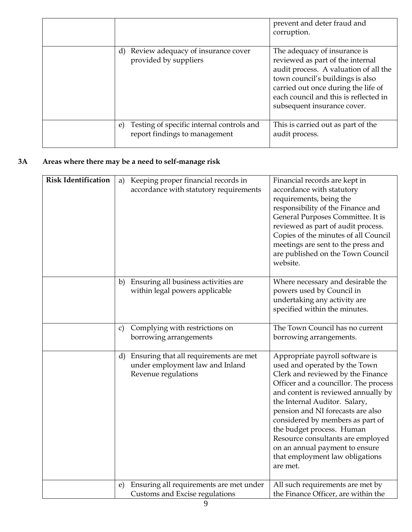|                                                                                  | prevent and deter fraud and<br>corruption.                                                                                                                                                                                                                   |
|----------------------------------------------------------------------------------|--------------------------------------------------------------------------------------------------------------------------------------------------------------------------------------------------------------------------------------------------------------|
| d) Review adequacy of insurance cover<br>provided by suppliers                   | The adequacy of insurance is<br>reviewed as part of the internal<br>audit process. A valuation of all the<br>town council's buildings is also<br>carried out once during the life of<br>each council and this is reflected in<br>subsequent insurance cover. |
| Testing of specific internal controls and<br>e)<br>report findings to management | This is carried out as part of the<br>audit process.                                                                                                                                                                                                         |

#### **3A Areas where there may be a need to self-manage risk**

| <b>Risk Identification</b> | Keeping proper financial records in<br>a)<br>accordance with statutory requirements                    | Financial records are kept in<br>accordance with statutory<br>requirements, being the<br>responsibility of the Finance and<br>General Purposes Committee. It is<br>reviewed as part of audit process.<br>Copies of the minutes of all Council<br>meetings are sent to the press and                                                                                                                                                                |
|----------------------------|--------------------------------------------------------------------------------------------------------|----------------------------------------------------------------------------------------------------------------------------------------------------------------------------------------------------------------------------------------------------------------------------------------------------------------------------------------------------------------------------------------------------------------------------------------------------|
|                            |                                                                                                        | are published on the Town Council<br>website.                                                                                                                                                                                                                                                                                                                                                                                                      |
|                            | Ensuring all business activities are<br>b)<br>within legal powers applicable                           | Where necessary and desirable the<br>powers used by Council in<br>undertaking any activity are<br>specified within the minutes.                                                                                                                                                                                                                                                                                                                    |
|                            | Complying with restrictions on<br>C)<br>borrowing arrangements                                         | The Town Council has no current<br>borrowing arrangements.                                                                                                                                                                                                                                                                                                                                                                                         |
|                            | Ensuring that all requirements are met<br>d)<br>under employment law and Inland<br>Revenue regulations | Appropriate payroll software is<br>used and operated by the Town<br>Clerk and reviewed by the Finance<br>Officer and a councillor. The process<br>and content is reviewed annually by<br>the Internal Auditor. Salary,<br>pension and NI forecasts are also<br>considered by members as part of<br>the budget process. Human<br>Resource consultants are employed<br>on an annual payment to ensure<br>that employment law obligations<br>are met. |
|                            | Ensuring all requirements are met under<br>e)<br>Customs and Excise regulations                        | All such requirements are met by<br>the Finance Officer, are within the                                                                                                                                                                                                                                                                                                                                                                            |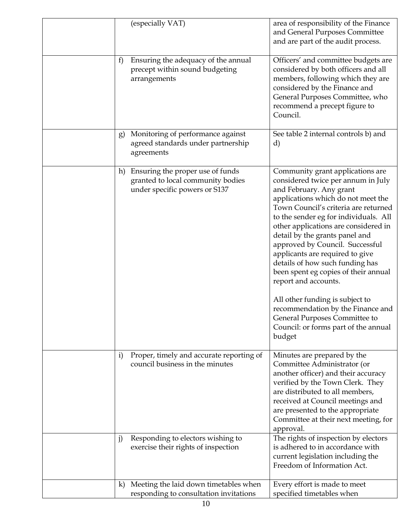|              | (especially VAT)                                                                                       | area of responsibility of the Finance<br>and General Purposes Committee<br>and are part of the audit process.                                                                                                                                                                                                                                                                                                                                                                                                                                                                                                                          |
|--------------|--------------------------------------------------------------------------------------------------------|----------------------------------------------------------------------------------------------------------------------------------------------------------------------------------------------------------------------------------------------------------------------------------------------------------------------------------------------------------------------------------------------------------------------------------------------------------------------------------------------------------------------------------------------------------------------------------------------------------------------------------------|
| f            | Ensuring the adequacy of the annual<br>precept within sound budgeting<br>arrangements                  | Officers' and committee budgets are<br>considered by both officers and all<br>members, following which they are<br>considered by the Finance and<br>General Purposes Committee, who<br>recommend a precept figure to<br>Council.                                                                                                                                                                                                                                                                                                                                                                                                       |
| g)           | Monitoring of performance against<br>agreed standards under partnership<br>agreements                  | See table 2 internal controls b) and<br>d)                                                                                                                                                                                                                                                                                                                                                                                                                                                                                                                                                                                             |
| h)           | Ensuring the proper use of funds<br>granted to local community bodies<br>under specific powers or S137 | Community grant applications are<br>considered twice per annum in July<br>and February. Any grant<br>applications which do not meet the<br>Town Council's criteria are returned<br>to the sender eg for individuals. All<br>other applications are considered in<br>detail by the grants panel and<br>approved by Council. Successful<br>applicants are required to give<br>details of how such funding has<br>been spent eg copies of their annual<br>report and accounts.<br>All other funding is subject to<br>recommendation by the Finance and<br>General Purposes Committee to<br>Council: or forms part of the annual<br>budget |
| $\mathbf{i}$ | Proper, timely and accurate reporting of<br>council business in the minutes                            | Minutes are prepared by the<br>Committee Administrator (or<br>another officer) and their accuracy<br>verified by the Town Clerk. They<br>are distributed to all members,<br>received at Council meetings and<br>are presented to the appropriate<br>Committee at their next meeting, for<br>approval.                                                                                                                                                                                                                                                                                                                                  |
| $\mathbf{j}$ | Responding to electors wishing to<br>exercise their rights of inspection                               | The rights of inspection by electors<br>is adhered to in accordance with<br>current legislation including the<br>Freedom of Information Act.                                                                                                                                                                                                                                                                                                                                                                                                                                                                                           |
| $\bf k)$     | Meeting the laid down timetables when<br>responding to consultation invitations                        | Every effort is made to meet<br>specified timetables when                                                                                                                                                                                                                                                                                                                                                                                                                                                                                                                                                                              |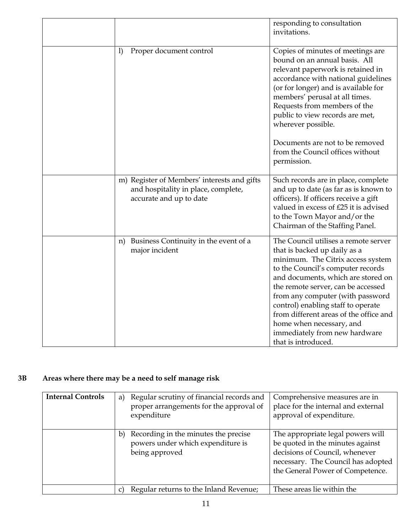|                                                                                                               | responding to consultation<br>invitations.                                                                                                                                                                                                                                                                                                                                                                                         |
|---------------------------------------------------------------------------------------------------------------|------------------------------------------------------------------------------------------------------------------------------------------------------------------------------------------------------------------------------------------------------------------------------------------------------------------------------------------------------------------------------------------------------------------------------------|
| Proper document control<br>1)                                                                                 | Copies of minutes of meetings are<br>bound on an annual basis. All<br>relevant paperwork is retained in<br>accordance with national guidelines<br>(or for longer) and is available for<br>members' perusal at all times.<br>Requests from members of the<br>public to view records are met,<br>wherever possible.<br>Documents are not to be removed<br>from the Council offices without<br>permission.                            |
| m) Register of Members' interests and gifts<br>and hospitality in place, complete,<br>accurate and up to date | Such records are in place, complete<br>and up to date (as far as is known to<br>officers). If officers receive a gift<br>valued in excess of £25 it is advised<br>to the Town Mayor and/or the<br>Chairman of the Staffing Panel.                                                                                                                                                                                                  |
| Business Continuity in the event of a<br>n)<br>major incident                                                 | The Council utilises a remote server<br>that is backed up daily as a<br>minimum. The Citrix access system<br>to the Council's computer records<br>and documents, which are stored on<br>the remote server, can be accessed<br>from any computer (with password<br>control) enabling staff to operate<br>from different areas of the office and<br>home when necessary, and<br>immediately from new hardware<br>that is introduced. |

## **3B Areas where there may be a need to self manage risk**

| <b>Internal Controls</b> | Regular scrutiny of financial records and<br>a)<br>proper arrangements for the approval of<br>expenditure | Comprehensive measures are in<br>place for the internal and external<br>approval of expenditure.                                                                                  |
|--------------------------|-----------------------------------------------------------------------------------------------------------|-----------------------------------------------------------------------------------------------------------------------------------------------------------------------------------|
|                          | Recording in the minutes the precise<br>b)<br>powers under which expenditure is<br>being approved         | The appropriate legal powers will<br>be quoted in the minutes against<br>decisions of Council, whenever<br>necessary. The Council has adopted<br>the General Power of Competence. |
|                          | Regular returns to the Inland Revenue;                                                                    | These areas lie within the                                                                                                                                                        |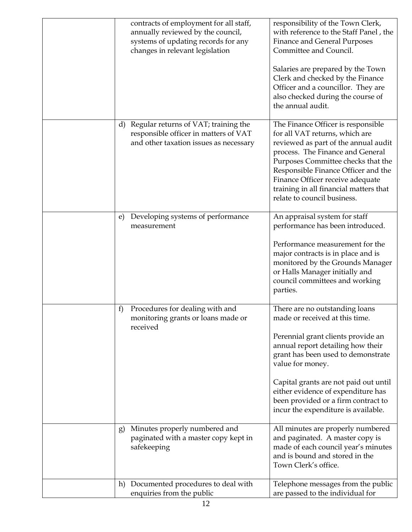| contracts of employment for all staff,<br>annually reviewed by the council,<br>systems of updating records for any<br>changes in relevant legislation | responsibility of the Town Clerk,<br>with reference to the Staff Panel, the<br><b>Finance and General Purposes</b><br>Committee and Council.<br>Salaries are prepared by the Town<br>Clerk and checked by the Finance<br>Officer and a councillor. They are<br>also checked during the course of<br>the annual audit.                                              |
|-------------------------------------------------------------------------------------------------------------------------------------------------------|--------------------------------------------------------------------------------------------------------------------------------------------------------------------------------------------------------------------------------------------------------------------------------------------------------------------------------------------------------------------|
| Regular returns of VAT; training the<br>d)<br>responsible officer in matters of VAT<br>and other taxation issues as necessary                         | The Finance Officer is responsible<br>for all VAT returns, which are<br>reviewed as part of the annual audit<br>process. The Finance and General<br>Purposes Committee checks that the<br>Responsible Finance Officer and the<br>Finance Officer receive adequate<br>training in all financial matters that<br>relate to council business.                         |
| Developing systems of performance<br>e)<br>measurement                                                                                                | An appraisal system for staff<br>performance has been introduced.<br>Performance measurement for the<br>major contracts is in place and is<br>monitored by the Grounds Manager<br>or Halls Manager initially and<br>council committees and working<br>parties.                                                                                                     |
| Procedures for dealing with and<br>f)<br>monitoring grants or loans made or<br>received                                                               | There are no outstanding loans<br>made or received at this time.<br>Perennial grant clients provide an<br>annual report detailing how their<br>grant has been used to demonstrate<br>value for money.<br>Capital grants are not paid out until<br>either evidence of expenditure has<br>been provided or a firm contract to<br>incur the expenditure is available. |
| Minutes properly numbered and<br>g)<br>paginated with a master copy kept in<br>safekeeping                                                            | All minutes are properly numbered<br>and paginated. A master copy is<br>made of each council year's minutes<br>and is bound and stored in the<br>Town Clerk's office.                                                                                                                                                                                              |
| Documented procedures to deal with<br>h)<br>enquiries from the public                                                                                 | Telephone messages from the public<br>are passed to the individual for                                                                                                                                                                                                                                                                                             |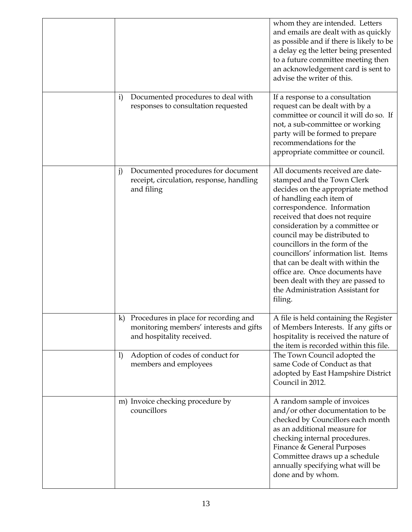|                                                                                                                                                                                     | whom they are intended. Letters<br>and emails are dealt with as quickly<br>as possible and if there is likely to be<br>a delay eg the letter being presented<br>to a future committee meeting then<br>an acknowledgement card is sent to<br>advise the writer of this.                                                                                                                                                                                                                                      |
|-------------------------------------------------------------------------------------------------------------------------------------------------------------------------------------|-------------------------------------------------------------------------------------------------------------------------------------------------------------------------------------------------------------------------------------------------------------------------------------------------------------------------------------------------------------------------------------------------------------------------------------------------------------------------------------------------------------|
| Documented procedures to deal with<br>i)<br>responses to consultation requested                                                                                                     | If a response to a consultation<br>request can be dealt with by a<br>committee or council it will do so. If<br>not, a sub-committee or working<br>party will be formed to prepare<br>recommendations for the<br>appropriate committee or council.                                                                                                                                                                                                                                                           |
| Documented procedures for document<br>j)<br>receipt, circulation, response, handling<br>and filing                                                                                  | All documents received are date-<br>stamped and the Town Clerk<br>decides on the appropriate method<br>of handling each item of<br>correspondence. Information<br>received that does not require<br>consideration by a committee or<br>council may be distributed to<br>councillors in the form of the<br>councillors' information list. Items<br>that can be dealt with within the<br>office are. Once documents have<br>been dealt with they are passed to<br>the Administration Assistant for<br>filing. |
| k) Procedures in place for recording and<br>monitoring members' interests and gifts<br>and hospitality received.<br>Adoption of codes of conduct for<br>1)<br>members and employees | A file is held containing the Register<br>of Members Interests. If any gifts or<br>hospitality is received the nature of<br>the item is recorded within this file.<br>The Town Council adopted the<br>same Code of Conduct as that                                                                                                                                                                                                                                                                          |
| m) Invoice checking procedure by                                                                                                                                                    | adopted by East Hampshire District<br>Council in 2012.<br>A random sample of invoices                                                                                                                                                                                                                                                                                                                                                                                                                       |
| councillors                                                                                                                                                                         | and/or other documentation to be<br>checked by Councillors each month<br>as an additional measure for<br>checking internal procedures.<br>Finance & General Purposes<br>Committee draws up a schedule<br>annually specifying what will be<br>done and by whom.                                                                                                                                                                                                                                              |